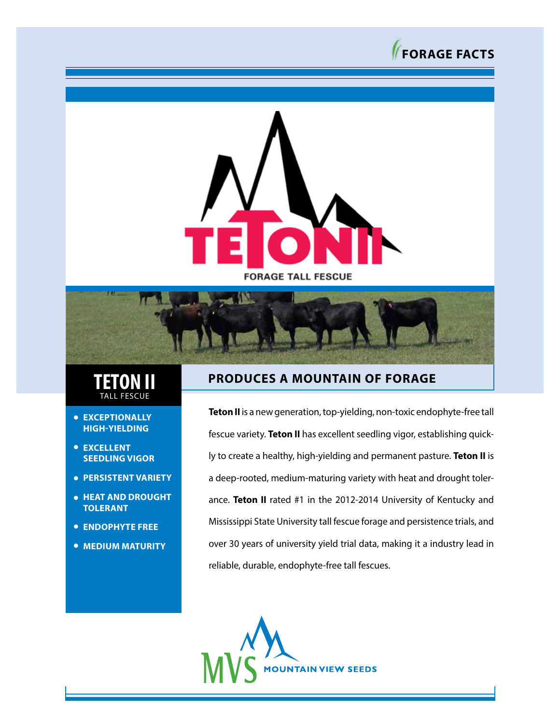





## **TETON II** TALL FESCUE

- **EXCEPTIONALLY HIGH-YIELDING**
- **EXCELLENT SEEDLING VIGOR**
- **PERSISTENT VARIETY**
- **HEAT AND DROUGHT TOLERANT**
- **ENDOPHYTE FREE**
- **MEDIUM MATURITY**

## **PRODUCES A MOUNTAIN OF FORAGE**

**Teton II** is a new generation, top-yielding, non-toxic endophyte-free tall fescue variety. **Teton II** has excellent seedling vigor, establishing quickly to create a healthy, high-yielding and permanent pasture. **Teton II** is a deep-rooted, medium-maturing variety with heat and drought tolerance. **Teton II** rated #1 in the 2012-2014 University of Kentucky and Mississippi State University tall fescue forage and persistence trials, and over 30 years of university yield trial data, making it a industry lead in reliable, durable, endophyte-free tall fescues.